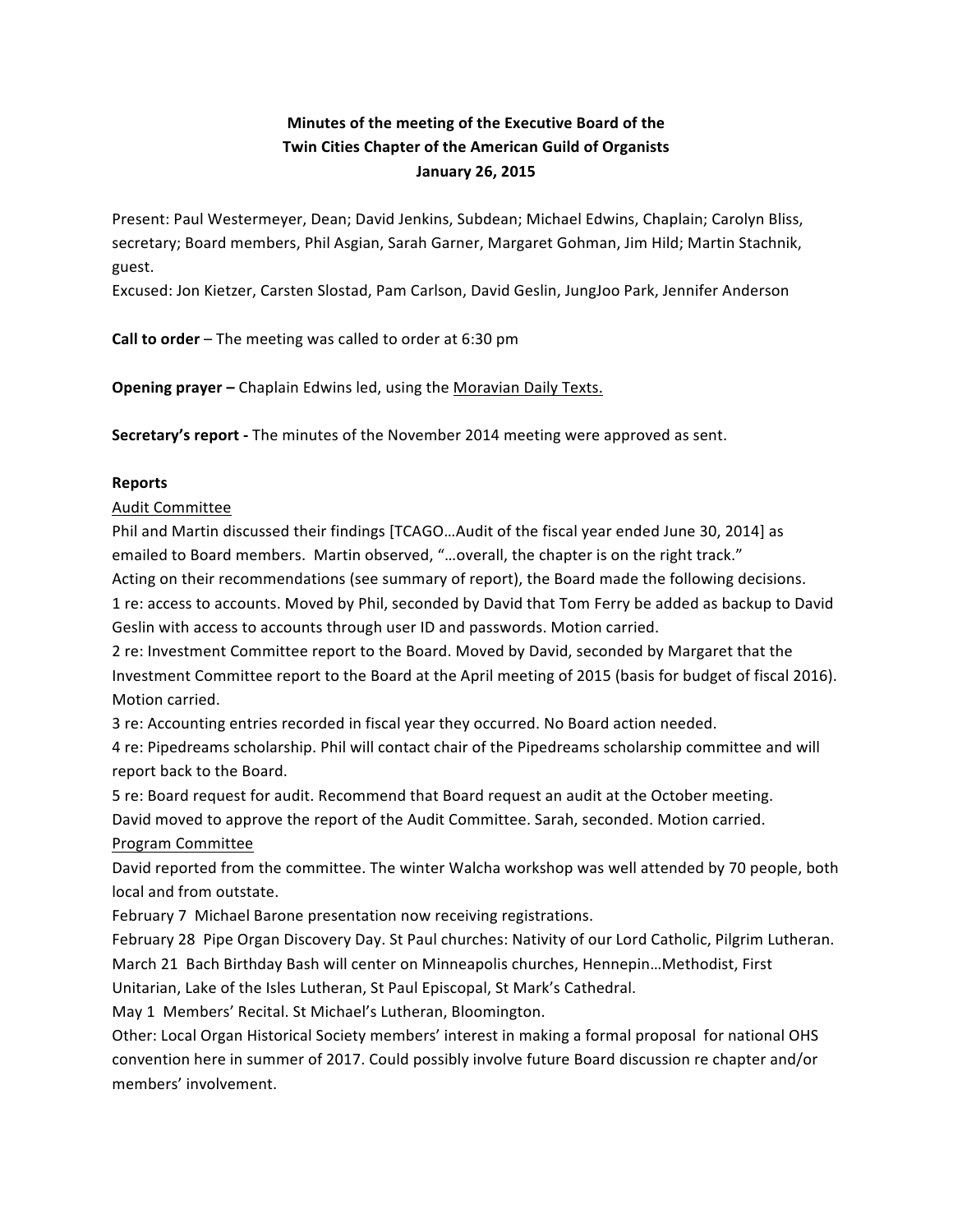## **Minutes of the meeting of the Executive Board of the Twin Cities Chapter of the American Guild of Organists January 26, 2015**

Present: Paul Westermeyer, Dean; David Jenkins, Subdean; Michael Edwins, Chaplain; Carolyn Bliss, secretary; Board members, Phil Asgian, Sarah Garner, Margaret Gohman, Jim Hild; Martin Stachnik, guest.

Excused: Jon Kietzer, Carsten Slostad, Pam Carlson, David Geslin, JungJoo Park, Jennifer Anderson

**Call to order** – The meeting was called to order at 6:30 pm

**Opening prayer** – Chaplain Edwins led, using the Moravian Daily Texts.

**Secretary's report** - The minutes of the November 2014 meeting were approved as sent.

## **Reports**

**Audit Committee** 

Phil and Martin discussed their findings [TCAGO...Audit of the fiscal year ended June 30, 2014] as emailed to Board members. Martin observed, "...overall, the chapter is on the right track."

Acting on their recommendations (see summary of report), the Board made the following decisions.

1 re: access to accounts. Moved by Phil, seconded by David that Tom Ferry be added as backup to David Geslin with access to accounts through user ID and passwords. Motion carried.

2 re: Investment Committee report to the Board. Moved by David, seconded by Margaret that the Investment Committee report to the Board at the April meeting of 2015 (basis for budget of fiscal 2016). Motion carried.

3 re: Accounting entries recorded in fiscal year they occurred. No Board action needed.

4 re: Pipedreams scholarship. Phil will contact chair of the Pipedreams scholarship committee and will report back to the Board.

5 re: Board request for audit. Recommend that Board request an audit at the October meeting. David moved to approve the report of the Audit Committee. Sarah, seconded. Motion carried. Program Committee

David reported from the committee. The winter Walcha workshop was well attended by 70 people, both local and from outstate.

February 7 Michael Barone presentation now receiving registrations.

February 28 Pipe Organ Discovery Day. St Paul churches: Nativity of our Lord Catholic, Pilgrim Lutheran. March 21 Bach Birthday Bash will center on Minneapolis churches, Hennepin...Methodist, First Unitarian, Lake of the Isles Lutheran, St Paul Episcopal, St Mark's Cathedral.

May 1 Members' Recital. St Michael's Lutheran, Bloomington.

Other: Local Organ Historical Society members' interest in making a formal proposal for national OHS convention here in summer of 2017. Could possibly involve future Board discussion re chapter and/or members' involvement.